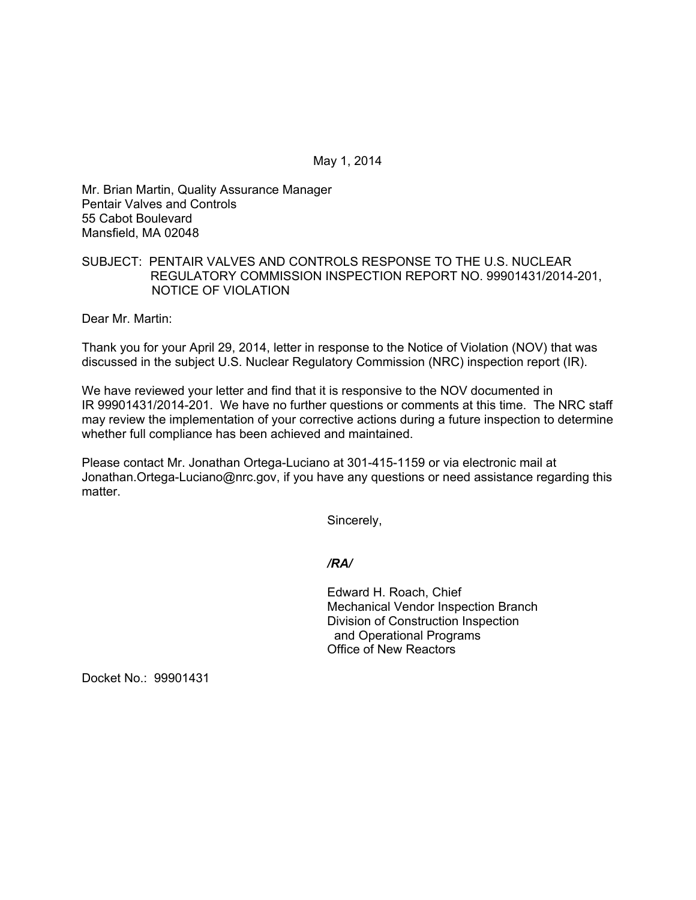May 1, 2014

Mr. Brian Martin, Quality Assurance Manager Pentair Valves and Controls 55 Cabot Boulevard Mansfield, MA 02048

# SUBJECT: PENTAIR VALVES AND CONTROLS RESPONSE TO THE U.S. NUCLEAR REGULATORY COMMISSION INSPECTION REPORT NO. 99901431/2014-201, NOTICE OF VIOLATION

Dear Mr. Martin:

Thank you for your April 29, 2014, letter in response to the Notice of Violation (NOV) that was discussed in the subject U.S. Nuclear Regulatory Commission (NRC) inspection report (IR).

We have reviewed your letter and find that it is responsive to the NOV documented in IR 99901431/2014-201. We have no further questions or comments at this time. The NRC staff may review the implementation of your corrective actions during a future inspection to determine whether full compliance has been achieved and maintained.

Please contact Mr. Jonathan Ortega-Luciano at 301-415-1159 or via electronic mail at Jonathan.Ortega-Luciano@nrc.gov, if you have any questions or need assistance regarding this matter.

Sincerely,

*/RA/* 

Edward H. Roach, Chief Mechanical Vendor Inspection Branch Division of Construction Inspection and Operational Programs Office of New Reactors

Docket No.: 99901431